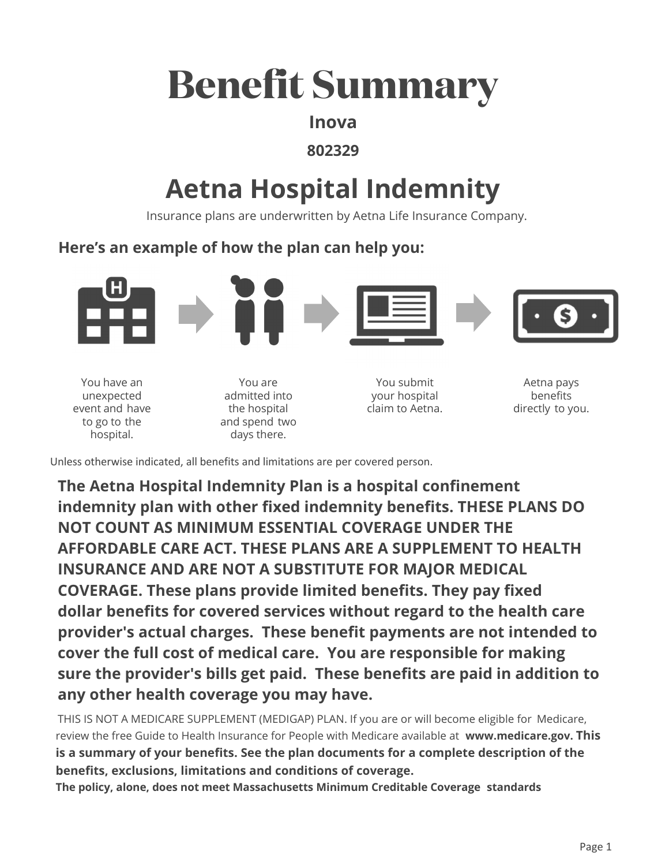# **Benefit Summary**

## Inova

### 802329

# **Aetna Hospital Indemnity**

Insurance plans are underwritten by Aetna Life Insurance Company.

# Here's an example of how the plan can help you:



You have an unexpected event and have to go to the hospital.

You are admitted into the hospital and spend two days there.

You submit vour hospital claim to Aetna.

Aetna pays benefits directly to you.

Unless otherwise indicated, all benefits and limitations are per covered person.

The Aetna Hospital Indemnity Plan is a hospital confinement indemnity plan with other fixed indemnity benefits. THESE PLANS DO NOT COUNT AS MINIMUM ESSENTIAL COVERAGE UNDER THE AFFORDABLE CARE ACT. THESE PLANS ARE A SUPPLEMENT TO HEALTH **INSURANCE AND ARE NOT A SUBSTITUTE FOR MAJOR MEDICAL COVERAGE.** These plans provide limited benefits. They pay fixed dollar benefits for covered services without regard to the health care provider's actual charges. These benefit payments are not intended to cover the full cost of medical care. You are responsible for making sure the provider's bills get paid. These benefits are paid in addition to any other health coverage you may have.

THIS IS NOT A MEDICARE SUPPLEMENT (MEDIGAP) PLAN. If you are or will become eligible for Medicare, review the free Guide to Health Insurance for People with Medicare available at www.medicare.gov. This is a summary of your benefits. See the plan documents for a complete description of the benefits, exclusions, limitations and conditions of coverage.

The policy, alone, does not meet Massachusetts Minimum Creditable Coverage standards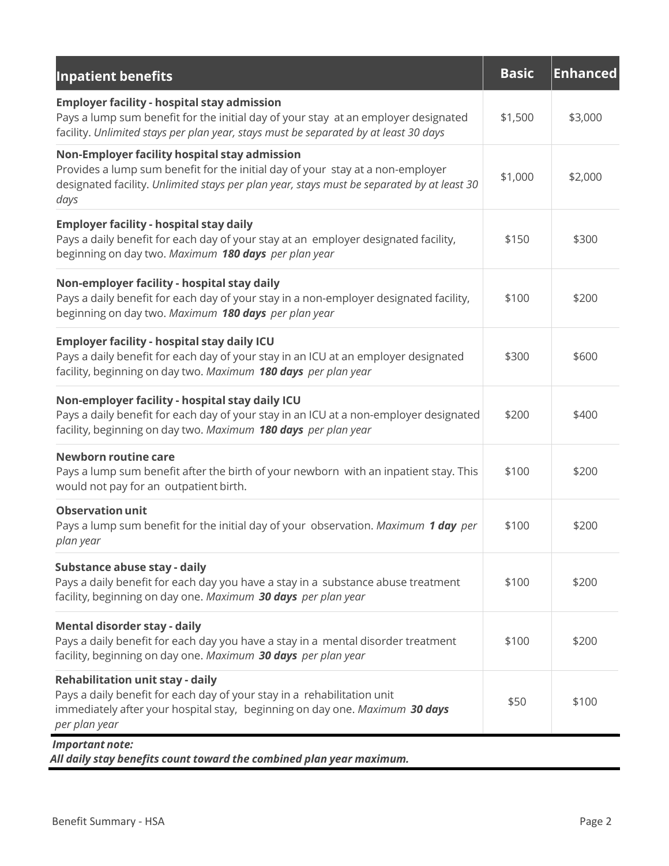| <b>Inpatient benefits</b>                                                                                                                                                                                                             | <b>Basic</b> | <b>Enhanced</b> |
|---------------------------------------------------------------------------------------------------------------------------------------------------------------------------------------------------------------------------------------|--------------|-----------------|
| <b>Employer facility - hospital stay admission</b><br>Pays a lump sum benefit for the initial day of your stay at an employer designated<br>facility. Unlimited stays per plan year, stays must be separated by at least 30 days      | \$1,500      | \$3,000         |
| Non-Employer facility hospital stay admission<br>Provides a lump sum benefit for the initial day of your stay at a non-employer<br>designated facility. Unlimited stays per plan year, stays must be separated by at least 30<br>days | \$1,000      | \$2,000         |
| <b>Employer facility - hospital stay daily</b><br>Pays a daily benefit for each day of your stay at an employer designated facility,<br>beginning on day two. Maximum 180 days per plan year                                          | \$150        | \$300           |
| Non-employer facility - hospital stay daily<br>Pays a daily benefit for each day of your stay in a non-employer designated facility,<br>beginning on day two. Maximum 180 days per plan year                                          | \$100        | \$200           |
| <b>Employer facility - hospital stay daily ICU</b><br>Pays a daily benefit for each day of your stay in an ICU at an employer designated<br>facility, beginning on day two. Maximum 180 days per plan year                            | \$300        | \$600           |
| Non-employer facility - hospital stay daily ICU<br>Pays a daily benefit for each day of your stay in an ICU at a non-employer designated<br>facility, beginning on day two. Maximum 180 days per plan year                            | \$200        | \$400           |
| <b>Newborn routine care</b><br>Pays a lump sum benefit after the birth of your newborn with an inpatient stay. This<br>would not pay for an outpatient birth.                                                                         | \$100        | \$200           |
| <b>Observation unit</b><br>Pays a lump sum benefit for the initial day of your observation. Maximum 1 day per<br>plan year                                                                                                            | \$100        | \$200           |
| Substance abuse stay - daily<br>Pays a daily benefit for each day you have a stay in a substance abuse treatment<br>facility, beginning on day one. Maximum 30 days per plan year                                                     | \$100        | \$200           |
| Mental disorder stay - daily<br>Pays a daily benefit for each day you have a stay in a mental disorder treatment<br>facility, beginning on day one. Maximum 30 days per plan year                                                     | \$100        | \$200           |
| <b>Rehabilitation unit stay - daily</b><br>Pays a daily benefit for each day of your stay in a rehabilitation unit<br>immediately after your hospital stay, beginning on day one. Maximum 30 days<br>per plan year                    | \$50         | \$100           |
| Important note:                                                                                                                                                                                                                       |              |                 |

*All daily stay benefits count toward the combined plan year maximum.* 

f,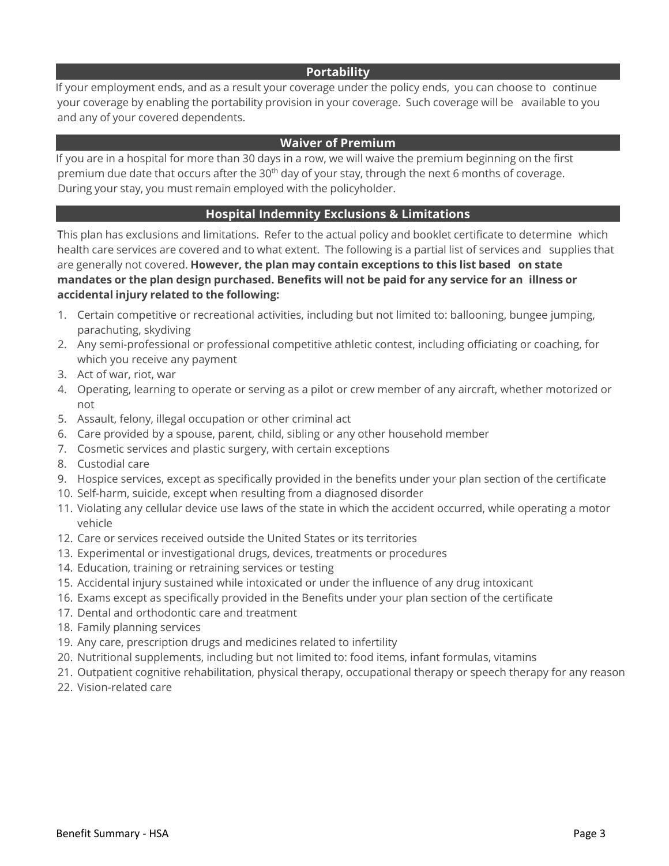#### **Portability**

If your employment ends, and as a result your coverage under the policy ends, you can choose to continue your coverage by enabling the portability provision in your coverage. Such coverage will be available to you and any of your covered dependents.

#### **Waiver of Premium**

If you are in a hospital for more than 30 days in a row, we will waive the premium beginning on the first premium due date that occurs after the 30<sup>th</sup> day of your stay, through the next 6 months of coverage. During your stay, you must remain employed with the policyholder.

#### **Hospital Indemnity Exclusions & Limitations**

This plan has exclusions and limitations. Refer to the actual policy and booklet certificate to determine which health care services are covered and to what extent. The following is a partial list of services and supplies that are generally not covered. **However, the plan may contain exceptions to this list based on state mandates or the plan design purchased. Benefits will not be paid for any service for an illness or accidental injury related to the following:** 

- 1. Certain competitive or recreational activities, including but not limited to: ballooning, bungee jumping, parachuting, skydiving
- 2. Any semi-professional or professional competitive athletic contest, including officiating or coaching, for which you receive any payment
- 3. Act of war, riot, war
- 4. Operating, learning to operate or serving as a pilot or crew member of any aircraft, whether motorized or not
- 5. Assault, felony, illegal occupation or other criminal act
- 6. Care provided by a spouse, parent, child, sibling or any other household member
- 7. Cosmetic services and plastic surgery, with certain exceptions
- 8. Custodial care
- 9. Hospice services, except as specifically provided in the benefits under your plan section of the certificate
- 10. Self-harm, suicide, except when resulting from a diagnosed disorder
- 11. Violating any cellular device use laws of the state in which the accident occurred, while operating a motor vehicle
- 12. Care or services received outside the United States or its territories
- 13. Experimental or investigational drugs, devices, treatments or procedures
- 14. Education, training or retraining services or testing
- 15. Accidental injury sustained while intoxicated or under the influence of any drug intoxicant
- 16. Exams except as specifically provided in the Benefits under your plan section of the certificate
- 17. Dental and orthodontic care and treatment
- 18. Family planning services
- 19. Any care, prescription drugs and medicines related to infertility
- 20. Nutritional supplements, including but not limited to: food items, infant formulas, vitamins
- 21. Outpatient cognitive rehabilitation, physical therapy, occupational therapy or speech therapy for any reason
- 22. Vision-related care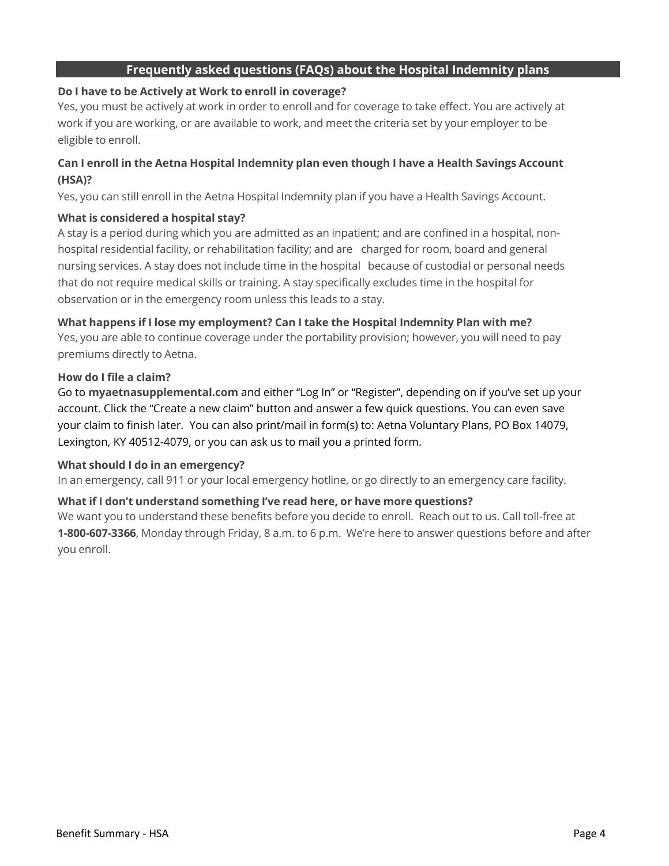#### **Frequently asked questions (FAQs) about the Hospital Indemnity plans**

#### **Do I have to be Actively at Work to enroll in coverage?**

Yes, you must be actively at work in order to enroll and for coverage to take effect. You are actively at work if you are working, or are available to work, and meet the criteria set by your employer to be eligible to enroll.

#### **Can I enroll in the Aetna Hospital Indemnity plan even though I have a Health Savings Account (HSA)?**

Yes, you can still enroll in the Aetna Hospital Indemnity plan if you have a Health Savings Account.

#### **What is considered a hospital stay?**

A stay is a period during which you are admitted as an inpatient; and are confined in a hospital, nonhospital residential facility, or rehabilitation facility; and are charged for room, board and general nursing services. A stay does not include time in the hospital because of custodial or personal needs that do not require medical skills or training. A stay specifically excludes time in the hospital for observation or in the emergency room unless this leads to a stay.

#### **What happens if I lose my employment? Can I take the Hospital Indemnity Plan with me?**

Yes, you are able to continue coverage under the portability provision; however, you will need to pay premiums directly to Aetna.

#### **How do I file a claim?**

Go to **myaetnasupplemental.com** and either "Log In" or "Register", depending on if you've set up your account. Click the "Create a new claim" button and answer a few quick questions. You can even save your claim to finish later. You can also print/mail in form(s) to: Aetna Voluntary Plans, PO Box 14079, Lexington, KY 40512-4079, or you can ask us to mail you a printed form.

#### **What should I do in an emergency?**

In an emergency, call 911 or your local emergency hotline, or go directly to an emergency care facility.

#### **What if I don't understand something I've read here, or have more questions?**

We want you to understand these benefits before you decide to enroll. Reach out to us. Call toll-free at **1-800-607-3366**, Monday through Friday, 8 a.m. to 6 p.m. We're here to answer questions before and after you enroll.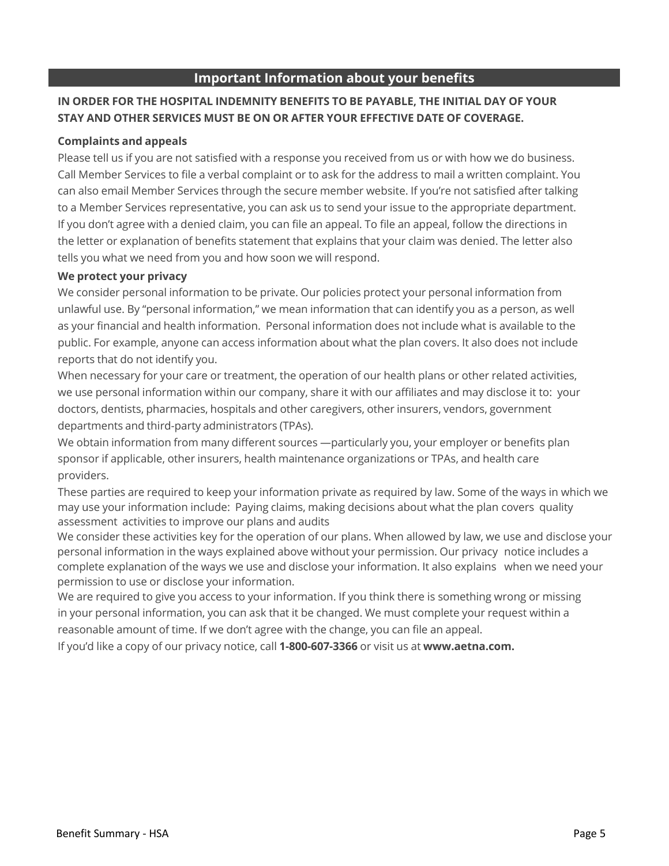#### **Important Information about your benefits**

#### **IN ORDER FOR THE HOSPITAL INDEMNITY BENEFITS TO BE PAYABLE, THE INITIAL DAY OF YOUR STAY AND OTHER SERVICES MUST BE ON OR AFTER YOUR EFFECTIVE DATE OF COVERAGE.**

#### **Complaints and appeals**

Please tell us if you are not satisfied with a response you received from us or with how we do business. Call Member Services to file a verbal complaint or to ask for the address to mail a written complaint. You can also email Member Services through the secure member website. If you're not satisfied after talking to a Member Services representative, you can ask us to send your issue to the appropriate department. If you don't agree with a denied claim, you can file an appeal. To file an appeal, follow the directions in the letter or explanation of benefits statement that explains that your claim was denied. The letter also tells you what we need from you and how soon we will respond.

#### **We protect your privacy**

We consider personal information to be private. Our policies protect your personal information from unlawful use. By "personal information," we mean information that can identify you as a person, as well as your financial and health information. Personal information does not include what is available to the public. For example, anyone can access information about what the plan covers. It also does not include reports that do not identify you.

When necessary for your care or treatment, the operation of our health plans or other related activities, we use personal information within our company, share it with our affiliates and may disclose it to: your doctors, dentists, pharmacies, hospitals and other caregivers, other insurers, vendors, government departments and third-party administrators (TPAs).

We obtain information from many different sources —particularly you, your employer or benefits plan sponsor if applicable, other insurers, health maintenance organizations or TPAs, and health care providers.

These parties are required to keep your information private as required by law. Some of the ways in which we may use your information include: Paying claims, making decisions about what the plan covers quality assessment activities to improve our plans and audits

We consider these activities key for the operation of our plans. When allowed by law, we use and disclose your personal information in the ways explained above without your permission. Our privacy notice includes a complete explanation of the ways we use and disclose your information. It also explains when we need your permission to use or disclose your information.

We are required to give you access to your information. If you think there is something wrong or missing in your personal information, you can ask that it be changed. We must complete your request within a reasonable amount of time. If we don't agree with the change, you can file an appeal.

If you'd like a copy of our privacy notice, call **1-800-607-3366** or visit us at **www.aetna.com.**